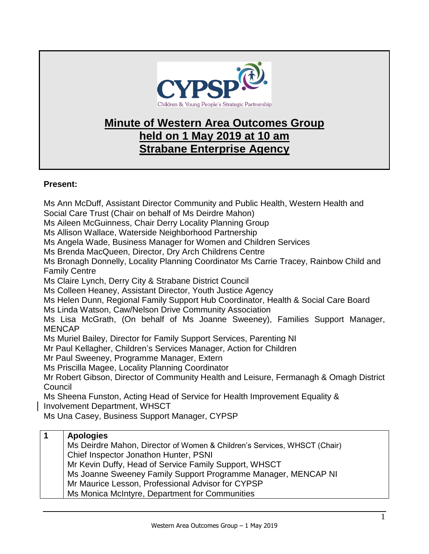

## **Minute of Western Area Outcomes Group held on 1 May 2019 at 10 am Strabane Enterprise Agency**

## **Present:**

Ms Ann McDuff, Assistant Director Community and Public Health, Western Health and Social Care Trust (Chair on behalf of Ms Deirdre Mahon) Ms Aileen McGuinness, Chair Derry Locality Planning Group Ms Allison Wallace, Waterside Neighborhood Partnership Ms Angela Wade, Business Manager for Women and Children Services Ms Brenda MacQueen, Director, Dry Arch Childrens Centre Ms Bronagh Donnelly, Locality Planning Coordinator Ms Carrie Tracey, Rainbow Child and Family Centre Ms Claire Lynch, Derry City & Strabane District Council Ms Colleen Heaney, Assistant Director, Youth Justice Agency Ms Helen Dunn, Regional Family Support Hub Coordinator, Health & Social Care Board Ms Linda Watson, Caw/Nelson Drive Community Association Ms Lisa McGrath, (On behalf of Ms Joanne Sweeney), Families Support Manager, MENCAP Ms Muriel Bailey, Director for Family Support Services, Parenting NI Mr Paul Kellagher, Children's Services Manager, Action for Children Mr Paul Sweeney, Programme Manager, Extern Ms Priscilla Magee, Locality Planning Coordinator Mr Robert Gibson, Director of Community Health and Leisure, Fermanagh & Omagh District **Council** Ms Sheena Funston, Acting Head of Service for Health Improvement Equality & Involvement Department, WHSCT Ms Una Casey, Business Support Manager, CYPSP **1 Apologies**

## Ms Deirdre Mahon, Director of Women & Children's Services, WHSCT (Chair) Chief Inspector Jonathon Hunter, PSNI

Mr Kevin Duffy, Head of Service Family Support, WHSCT

Ms Joanne Sweeney Family Support Programme Manager, MENCAP NI

Mr Maurice Lesson, Professional Advisor for CYPSP

Ms Monica McIntyre, Department for Communities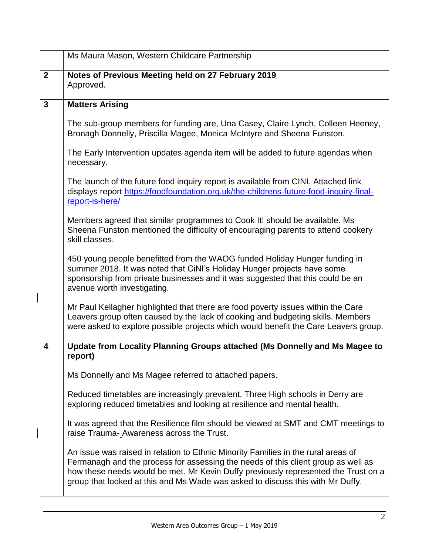|              | Ms Maura Mason, Western Childcare Partnership                                                                                                                                                                                                                                                                                                  |
|--------------|------------------------------------------------------------------------------------------------------------------------------------------------------------------------------------------------------------------------------------------------------------------------------------------------------------------------------------------------|
| $\mathbf{2}$ | Notes of Previous Meeting held on 27 February 2019<br>Approved.                                                                                                                                                                                                                                                                                |
| $\mathbf{3}$ | <b>Matters Arising</b>                                                                                                                                                                                                                                                                                                                         |
|              | The sub-group members for funding are, Una Casey, Claire Lynch, Colleen Heeney,<br>Bronagh Donnelly, Priscilla Magee, Monica McIntyre and Sheena Funston.                                                                                                                                                                                      |
|              | The Early Intervention updates agenda item will be added to future agendas when<br>necessary.                                                                                                                                                                                                                                                  |
|              | The launch of the future food inquiry report is available from CINI. Attached link<br>displays report https://foodfoundation.org.uk/the-childrens-future-food-inquiry-final-<br>report-is-here/                                                                                                                                                |
|              | Members agreed that similar programmes to Cook It! should be available. Ms<br>Sheena Funston mentioned the difficulty of encouraging parents to attend cookery<br>skill classes.                                                                                                                                                               |
|              | 450 young people benefitted from the WAOG funded Holiday Hunger funding in<br>summer 2018. It was noted that CiNI's Holiday Hunger projects have some<br>sponsorship from private businesses and it was suggested that this could be an<br>avenue worth investigating.                                                                         |
|              | Mr Paul Kellagher highlighted that there are food poverty issues within the Care<br>Leavers group often caused by the lack of cooking and budgeting skills. Members<br>were asked to explore possible projects which would benefit the Care Leavers group.                                                                                     |
| 4            | Update from Locality Planning Groups attached (Ms Donnelly and Ms Magee to<br>report)                                                                                                                                                                                                                                                          |
|              | Ms Donnelly and Ms Magee referred to attached papers.                                                                                                                                                                                                                                                                                          |
|              | Reduced timetables are increasingly prevalent. Three High schools in Derry are<br>exploring reduced timetables and looking at resilience and mental health.                                                                                                                                                                                    |
|              | It was agreed that the Resilience film should be viewed at SMT and CMT meetings to<br>raise Trauma-_Awareness across the Trust.                                                                                                                                                                                                                |
|              | An issue was raised in relation to Ethnic Minority Families in the rural areas of<br>Fermanagh and the process for assessing the needs of this client group as well as<br>how these needs would be met. Mr Kevin Duffy previously represented the Trust on a<br>group that looked at this and Ms Wade was asked to discuss this with Mr Duffy. |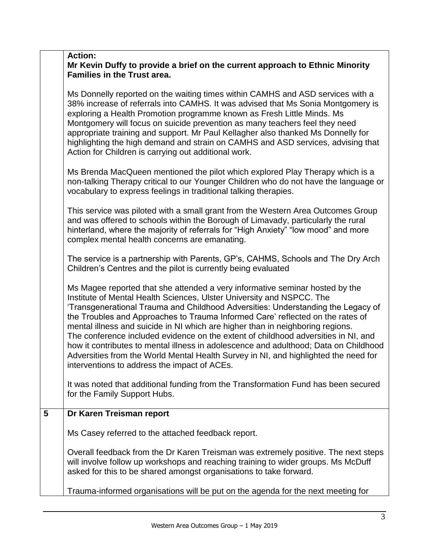| <b>Action:</b>                                                               |
|------------------------------------------------------------------------------|
| Mr Kevin Duffy to provide a brief on the current approach to Ethnic Minority |
| Families in the Trust area.                                                  |

Ms Donnelly reported on the waiting times within CAMHS and ASD services with a 38% increase of referrals into CAMHS. It was advised that Ms Sonia Montgomery is exploring a Health Promotion programme known as Fresh Little Minds. Ms Montgomery will focus on suicide prevention as many teachers feel they need appropriate training and support. Mr Paul Kellagher also thanked Ms Donnelly for highlighting the high demand and strain on CAMHS and ASD services, advising that Action for Children is carrying out additional work.

Ms Brenda MacQueen mentioned the pilot which explored Play Therapy which is a non-talking Therapy critical to our Younger Children who do not have the language or vocabulary to express feelings in traditional talking therapies.

This service was piloted with a small grant from the Western Area Outcomes Group and was offered to schools within the Borough of Limavady, particularly the rural hinterland, where the majority of referrals for "High Anxiety" "low mood" and more complex mental health concerns are emanating.

The service is a partnership with Parents, GP's, CAHMS, Schools and The Dry Arch Children's Centres and the pilot is currently being evaluated

Ms Magee reported that she attended a very informative seminar hosted by the Institute of Mental Health Sciences, Ulster University and NSPCC. The 'Transgenerational Trauma and Childhood Adversities: Understanding the Legacy of the Troubles and Approaches to Trauma Informed Care' reflected on the rates of mental illness and suicide in NI which are higher than in neighboring regions. The conference included evidence on the extent of childhood adversities in NI, and how it contributes to mental illness in adolescence and adulthood; Data on Childhood Adversities from the World Mental Health Survey in NI, and highlighted the need for interventions to address the impact of ACEs.

It was noted that additional funding from the Transformation Fund has been secured for the Family Support Hubs.

## **5 Dr Karen Treisman report**

Ms Casey referred to the attached feedback report.

Overall feedback from the Dr Karen Treisman was extremely positive. The next steps will involve follow up workshops and reaching training to wider groups. Ms McDuff asked for this to be shared amongst organisations to take forward.

Trauma-informed organisations will be put on the agenda for the next meeting for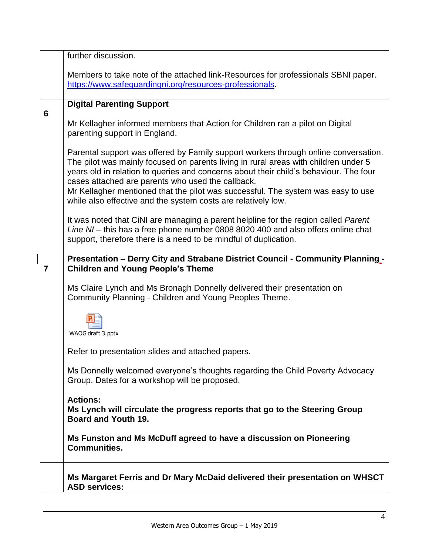|                         | further discussion.                                                                                                                                                                                                                                                                                                                                                                                                                                                           |
|-------------------------|-------------------------------------------------------------------------------------------------------------------------------------------------------------------------------------------------------------------------------------------------------------------------------------------------------------------------------------------------------------------------------------------------------------------------------------------------------------------------------|
|                         | Members to take note of the attached link-Resources for professionals SBNI paper.<br>https://www.safeguardingni.org/resources-professionals.                                                                                                                                                                                                                                                                                                                                  |
|                         | <b>Digital Parenting Support</b>                                                                                                                                                                                                                                                                                                                                                                                                                                              |
| 6                       | Mr Kellagher informed members that Action for Children ran a pilot on Digital<br>parenting support in England.                                                                                                                                                                                                                                                                                                                                                                |
|                         | Parental support was offered by Family support workers through online conversation.<br>The pilot was mainly focused on parents living in rural areas with children under 5<br>years old in relation to queries and concerns about their child's behaviour. The four<br>cases attached are parents who used the callback.<br>Mr Kellagher mentioned that the pilot was successful. The system was easy to use<br>while also effective and the system costs are relatively low. |
|                         | It was noted that CiNI are managing a parent helpline for the region called Parent<br>Line NI - this has a free phone number 0808 8020 400 and also offers online chat<br>support, therefore there is a need to be mindful of duplication.                                                                                                                                                                                                                                    |
| $\overline{\mathbf{r}}$ | Presentation - Derry City and Strabane District Council - Community Planning -<br><b>Children and Young People's Theme</b>                                                                                                                                                                                                                                                                                                                                                    |
|                         | Ms Claire Lynch and Ms Bronagh Donnelly delivered their presentation on<br>Community Planning - Children and Young Peoples Theme.                                                                                                                                                                                                                                                                                                                                             |
|                         | WAOG draft 3.pptx                                                                                                                                                                                                                                                                                                                                                                                                                                                             |
|                         | Refer to presentation slides and attached papers.                                                                                                                                                                                                                                                                                                                                                                                                                             |
|                         | Ms Donnelly welcomed everyone's thoughts regarding the Child Poverty Advocacy<br>Group. Dates for a workshop will be proposed.                                                                                                                                                                                                                                                                                                                                                |
|                         | <b>Actions:</b><br>Ms Lynch will circulate the progress reports that go to the Steering Group<br><b>Board and Youth 19.</b>                                                                                                                                                                                                                                                                                                                                                   |
|                         | Ms Funston and Ms McDuff agreed to have a discussion on Pioneering<br><b>Communities.</b>                                                                                                                                                                                                                                                                                                                                                                                     |
|                         | Ms Margaret Ferris and Dr Mary McDaid delivered their presentation on WHSCT<br><b>ASD services:</b>                                                                                                                                                                                                                                                                                                                                                                           |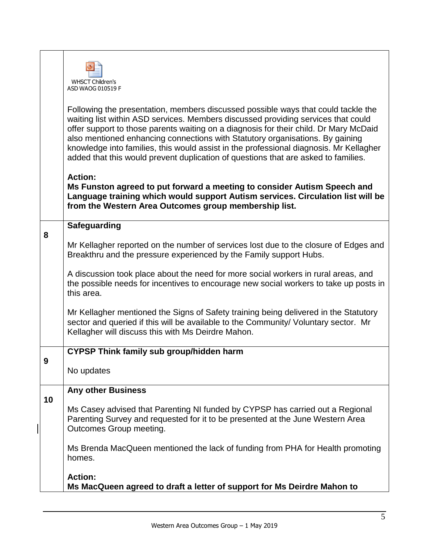|    | <b>WHSCT Children's</b><br>ASD WAOG 010519 F                                                                                                                                                                                                                                                                                                                                                                                                                                                                                     |
|----|----------------------------------------------------------------------------------------------------------------------------------------------------------------------------------------------------------------------------------------------------------------------------------------------------------------------------------------------------------------------------------------------------------------------------------------------------------------------------------------------------------------------------------|
|    | Following the presentation, members discussed possible ways that could tackle the<br>waiting list within ASD services. Members discussed providing services that could<br>offer support to those parents waiting on a diagnosis for their child. Dr Mary McDaid<br>also mentioned enhancing connections with Statutory organisations. By gaining<br>knowledge into families, this would assist in the professional diagnosis. Mr Kellagher<br>added that this would prevent duplication of questions that are asked to families. |
|    | <b>Action:</b><br>Ms Funston agreed to put forward a meeting to consider Autism Speech and<br>Language training which would support Autism services. Circulation list will be<br>from the Western Area Outcomes group membership list.                                                                                                                                                                                                                                                                                           |
| 8  | <b>Safeguarding</b>                                                                                                                                                                                                                                                                                                                                                                                                                                                                                                              |
|    | Mr Kellagher reported on the number of services lost due to the closure of Edges and<br>Breakthru and the pressure experienced by the Family support Hubs.                                                                                                                                                                                                                                                                                                                                                                       |
|    | A discussion took place about the need for more social workers in rural areas, and<br>the possible needs for incentives to encourage new social workers to take up posts in<br>this area.                                                                                                                                                                                                                                                                                                                                        |
|    | Mr Kellagher mentioned the Signs of Safety training being delivered in the Statutory<br>sector and queried if this will be available to the Community/ Voluntary sector. Mr<br>Kellagher will discuss this with Ms Deirdre Mahon.                                                                                                                                                                                                                                                                                                |
|    | <b>CYPSP Think family sub group/hidden harm</b>                                                                                                                                                                                                                                                                                                                                                                                                                                                                                  |
| 9  | No updates                                                                                                                                                                                                                                                                                                                                                                                                                                                                                                                       |
| 10 | <b>Any other Business</b>                                                                                                                                                                                                                                                                                                                                                                                                                                                                                                        |
|    | Ms Casey advised that Parenting NI funded by CYPSP has carried out a Regional<br>Parenting Survey and requested for it to be presented at the June Western Area<br>Outcomes Group meeting.                                                                                                                                                                                                                                                                                                                                       |
|    | Ms Brenda MacQueen mentioned the lack of funding from PHA for Health promoting<br>homes.                                                                                                                                                                                                                                                                                                                                                                                                                                         |
|    | <b>Action:</b><br>Ms MacQueen agreed to draft a letter of support for Ms Deirdre Mahon to                                                                                                                                                                                                                                                                                                                                                                                                                                        |